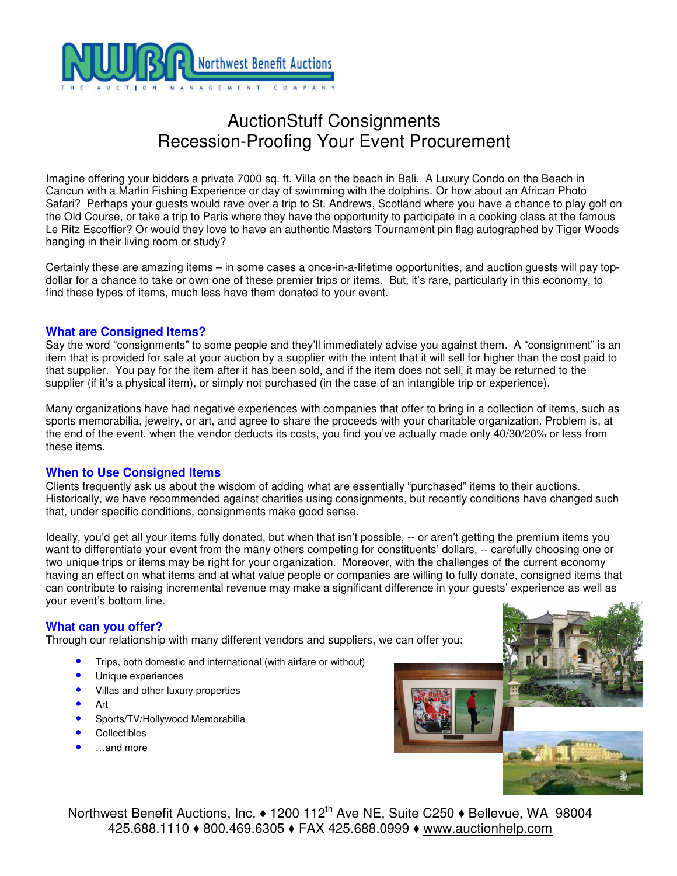

# AuctionStuff Consignments Recession-Proofing Your Event Procurement

Imagine offering your bidders a private 7000 sq. ft. Villa on the beach in Bali. A Luxury Condo on the Beach in Cancun with a Marlin Fishing Experience or day of swimming with the dolphins. Or how about an African Photo Safari? Perhaps your guests would rave over a trip to St. Andrews, Scotland where you have a chance to play golf on the Old Course, or take a trip to Paris where they have the opportunity to participate in a cooking class at the famous Le Ritz Escoffier? Or would they love to have an authentic Masters Tournament pin flag autographed by Tiger Woods hanging in their living room or study?

Certainly these are amazing items – in some cases a once-in-a-lifetime opportunities, and auction guests will pay topdollar for a chance to take or own one of these premier trips or items. But, it's rare, particularly in this economy, to find these types of items, much less have them donated to your event.

## **What are Consigned Items?**

Say the word "consignments" to some people and they'll immediately advise you against them. A "consignment" is an item that is provided for sale at your auction by a supplier with the intent that it will sell for higher than the cost paid to that supplier. You pay for the item after it has been sold, and if the item does not sell, it may be returned to the supplier (if it's a physical item), or simply not purchased (in the case of an intangible trip or experience).

Many organizations have had negative experiences with companies that offer to bring in a collection of items, such as sports memorabilia, jewelry, or art, and agree to share the proceeds with your charitable organization. Problem is, at the end of the event, when the vendor deducts its costs, you find you've actually made only 40/30/20% or less from these items.

## **When to Use Consigned Items**

Clients frequently ask us about the wisdom of adding what are essentially "purchased" items to their auctions. Historically, we have recommended against charities using consignments, but recently conditions have changed such that, under specific conditions, consignments make good sense.

Ideally, you'd get all your items fully donated, but when that isn't possible, -- or aren't getting the premium items you want to differentiate your event from the many others competing for constituents' dollars, -- carefully choosing one or two unique trips or items may be right for your organization. Moreover, with the challenges of the current economy having an effect on what items and at what value people or companies are willing to fully donate, consigned items that can contribute to raising incremental revenue may make a significant difference in your guests' experience as well as your event's bottom line.

### **What can you offer?**

Through our relationship with many different vendors and suppliers, we can offer you:

- Trips, both domestic and international (with airfare or without)
- Unique experiences
- Villas and other luxury properties
- Art
- Sports/TV/Hollywood Memorabilia
- **Collectibles**
- …and more



Northwest Benefit Auctions, Inc.  $\triangleleft 1200$  112<sup>th</sup> Ave NE, Suite C250  $\triangleleft$  Bellevue, WA 98004 425.688.1110 ♦ 800.469.6305 ♦ FAX 425.688.0999 ♦ www.auctionhelp.com